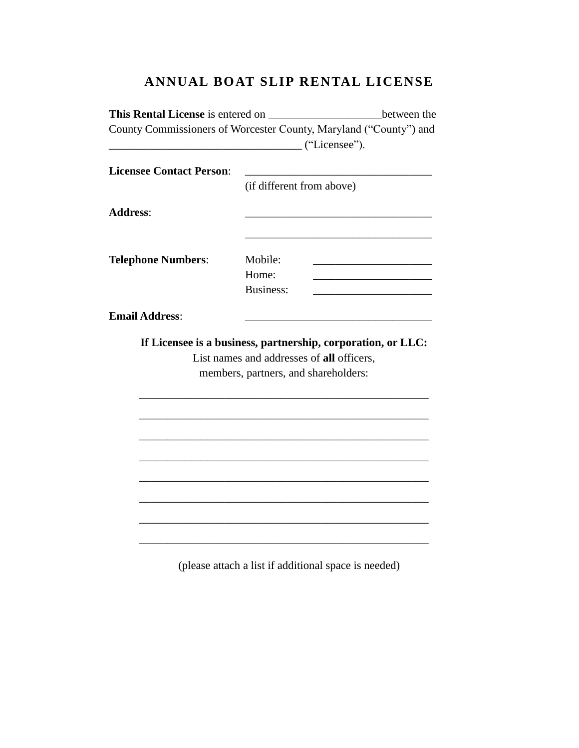# **ANNUAL BOAT SLIP RENTAL LICENSE**

| This Rental License is entered on |                                           | between the                                                       |
|-----------------------------------|-------------------------------------------|-------------------------------------------------------------------|
| ("Licensee").                     |                                           | County Commissioners of Worcester County, Maryland ("County") and |
| <b>Licensee Contact Person:</b>   | (if different from above)                 |                                                                   |
| <b>Address:</b>                   |                                           |                                                                   |
| <b>Telephone Numbers:</b>         | Mobile:                                   |                                                                   |
|                                   | Home:<br><b>Business:</b>                 |                                                                   |
| <b>Email Address:</b>             |                                           |                                                                   |
|                                   |                                           | If Licensee is a business, partnership, corporation, or LLC:      |
|                                   | List names and addresses of all officers, |                                                                   |
|                                   | members, partners, and shareholders:      |                                                                   |
|                                   |                                           |                                                                   |
|                                   |                                           |                                                                   |
|                                   |                                           |                                                                   |
|                                   |                                           |                                                                   |
|                                   |                                           |                                                                   |
|                                   |                                           |                                                                   |

(please attach a list if additional space is needed)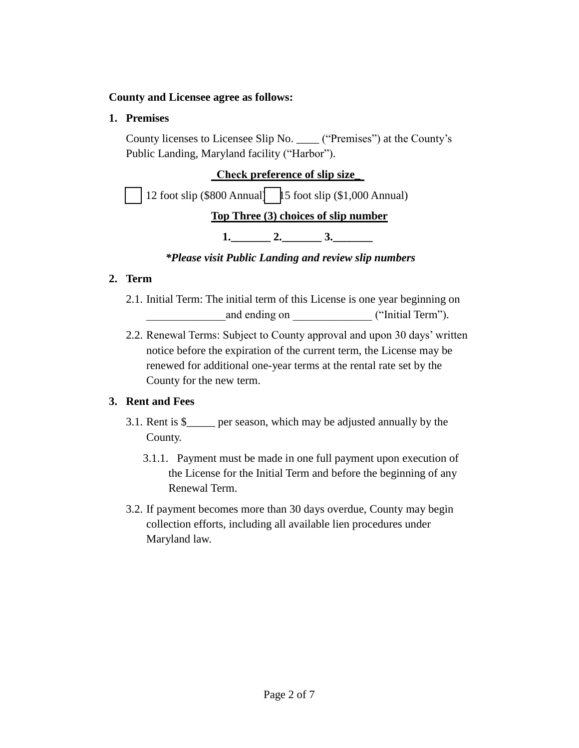#### **County and Licensee agree as follows:**

### **1. Premises**

County licenses to Licensee Slip No. \_\_\_\_ ("Premises") at the County's Public Landing, Maryland facility ("Harbor").

# **Check preference of slip size\_**  12 foot slip (\$800 Annual)  $\parallel$  5 foot slip (\$1,000 Annual) **Top Three (3) choices of slip number**

**1.** \_\_\_\_\_\_\_ 2. \_\_\_\_\_\_\_ 3.

*\*Please visit Public Landing and review slip numbers*

## **2. Term**

- 2.1. Initial Term: The initial term of this License is one year beginning on and ending on  $($ "Initial Term").
- 2.2. Renewal Terms: Subject to County approval and upon 30 days' written notice before the expiration of the current term, the License may be renewed for additional one-year terms at the rental rate set by the County for the new term.

## **3. Rent and Fees**

- 3.1. Rent is \$\_\_\_\_\_ per season, which may be adjusted annually by the County.
	- 3.1.1. Payment must be made in one full payment upon execution of the License for the Initial Term and before the beginning of any Renewal Term.
- 3.2. If payment becomes more than 30 days overdue, County may begin collection efforts, including all available lien procedures under Maryland law.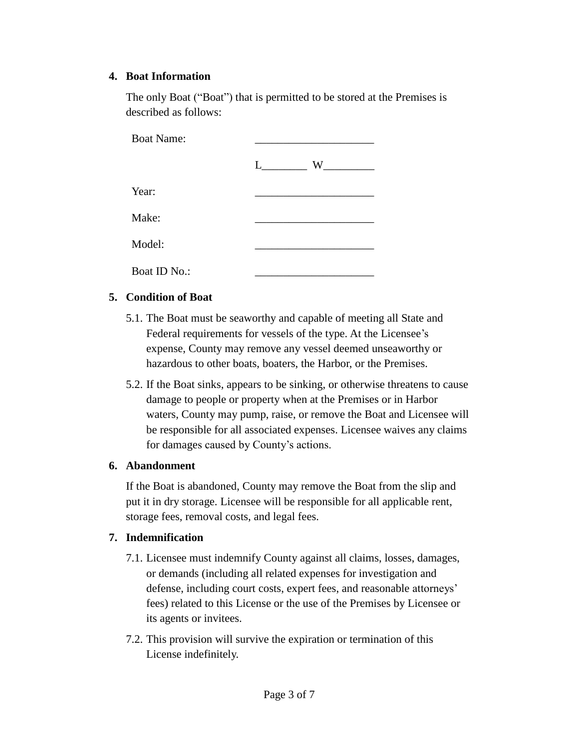#### **4. Boat Information**

The only Boat ("Boat") that is permitted to be stored at the Premises is described as follows:

| <b>Boat Name:</b> |        |  |  |
|-------------------|--------|--|--|
|                   | W<br>L |  |  |
| Year:             |        |  |  |
| Make:             |        |  |  |
| Model:            |        |  |  |
| Boat ID No.:      |        |  |  |

#### **5. Condition of Boat**

- 5.1. The Boat must be seaworthy and capable of meeting all State and Federal requirements for vessels of the type. At the Licensee's expense, County may remove any vessel deemed unseaworthy or hazardous to other boats, boaters, the Harbor, or the Premises.
- 5.2. If the Boat sinks, appears to be sinking, or otherwise threatens to cause damage to people or property when at the Premises or in Harbor waters, County may pump, raise, or remove the Boat and Licensee will be responsible for all associated expenses. Licensee waives any claims for damages caused by County's actions.

#### **6. Abandonment**

If the Boat is abandoned, County may remove the Boat from the slip and put it in dry storage. Licensee will be responsible for all applicable rent, storage fees, removal costs, and legal fees.

#### **7. Indemnification**

- 7.1. Licensee must indemnify County against all claims, losses, damages, or demands (including all related expenses for investigation and defense, including court costs, expert fees, and reasonable attorneys' fees) related to this License or the use of the Premises by Licensee or its agents or invitees.
- 7.2. This provision will survive the expiration or termination of this License indefinitely.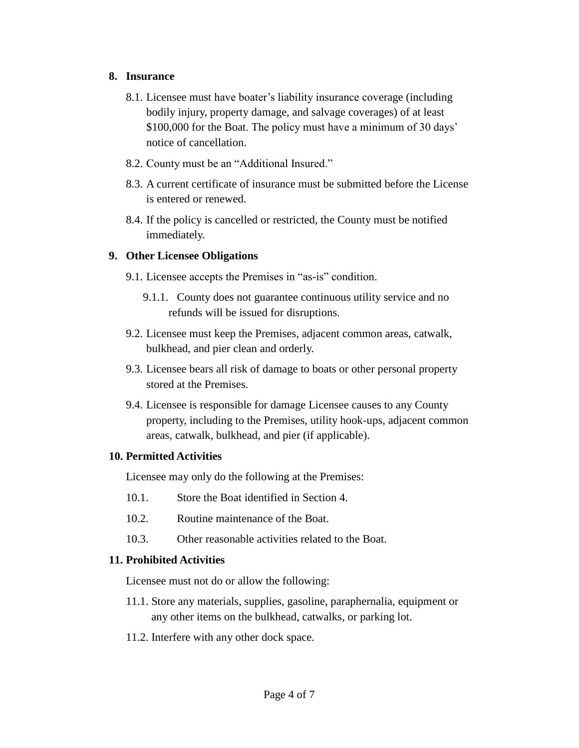#### **8. Insurance**

- 8.1. Licensee must have boater's liability insurance coverage (including bodily injury, property damage, and salvage coverages) of at least \$100,000 for the Boat. The policy must have a minimum of 30 days' notice of cancellation.
- 8.2. County must be an "Additional Insured."
- 8.3. A current certificate of insurance must be submitted before the License is entered or renewed.
- 8.4. If the policy is cancelled or restricted, the County must be notified immediately.

#### **9. Other Licensee Obligations**

- 9.1. Licensee accepts the Premises in "as-is" condition.
	- 9.1.1. County does not guarantee continuous utility service and no refunds will be issued for disruptions.
- 9.2. Licensee must keep the Premises, adjacent common areas, catwalk, bulkhead, and pier clean and orderly.
- 9.3. Licensee bears all risk of damage to boats or other personal property stored at the Premises.
- 9.4. Licensee is responsible for damage Licensee causes to any County property, including to the Premises, utility hook-ups, adjacent common areas, catwalk, bulkhead, and pier (if applicable).

#### **10. Permitted Activities**

Licensee may only do the following at the Premises:

- 10.1. Store the Boat identified in Section 4.
- 10.2. Routine maintenance of the Boat.
- 10.3. Other reasonable activities related to the Boat.

#### **11. Prohibited Activities**

Licensee must not do or allow the following:

- 11.1. Store any materials, supplies, gasoline, paraphernalia, equipment or any other items on the bulkhead, catwalks, or parking lot.
- 11.2. Interfere with any other dock space.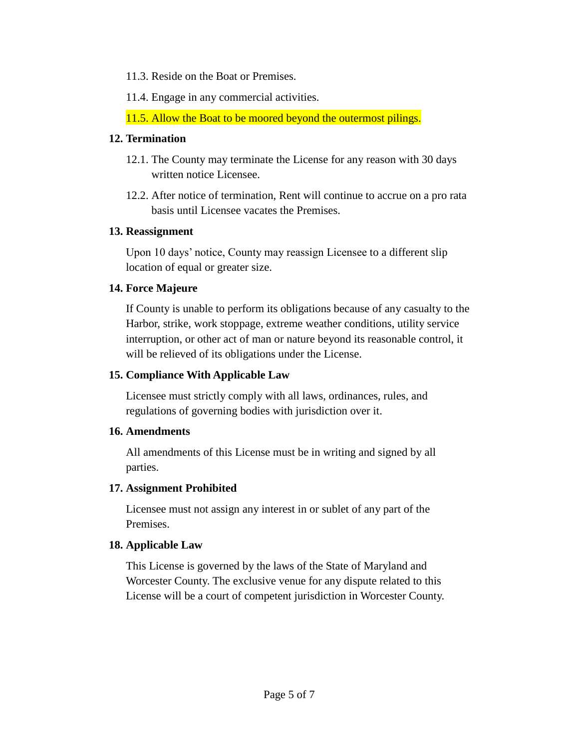11.3. Reside on the Boat or Premises.

11.4. Engage in any commercial activities.

11.5. Allow the Boat to be moored beyond the outermost pilings.

#### **12. Termination**

- 12.1. The County may terminate the License for any reason with 30 days written notice Licensee.
- 12.2. After notice of termination, Rent will continue to accrue on a pro rata basis until Licensee vacates the Premises.

### **13. Reassignment**

Upon 10 days' notice, County may reassign Licensee to a different slip location of equal or greater size.

### **14. Force Majeure**

If County is unable to perform its obligations because of any casualty to the Harbor, strike, work stoppage, extreme weather conditions, utility service interruption, or other act of man or nature beyond its reasonable control, it will be relieved of its obligations under the License.

#### **15. Compliance With Applicable Law**

Licensee must strictly comply with all laws, ordinances, rules, and regulations of governing bodies with jurisdiction over it.

#### **16. Amendments**

All amendments of this License must be in writing and signed by all parties.

### **17. Assignment Prohibited**

Licensee must not assign any interest in or sublet of any part of the Premises.

### **18. Applicable Law**

This License is governed by the laws of the State of Maryland and Worcester County. The exclusive venue for any dispute related to this License will be a court of competent jurisdiction in Worcester County.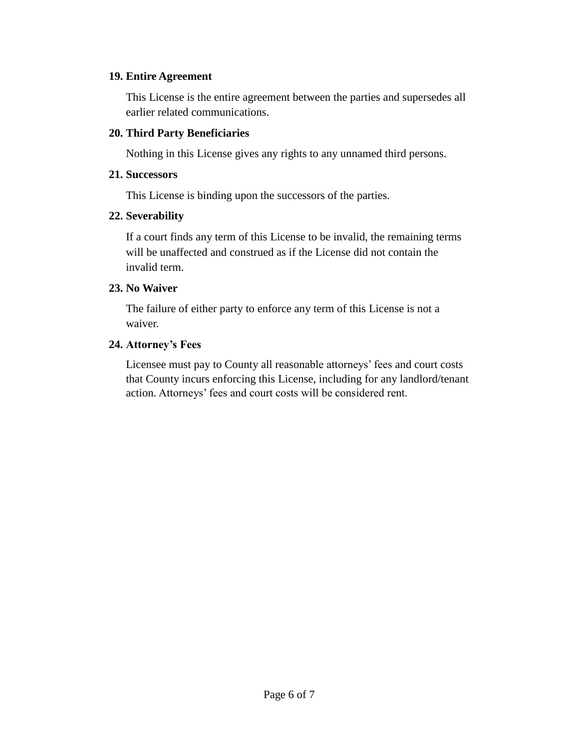#### **19. Entire Agreement**

This License is the entire agreement between the parties and supersedes all earlier related communications.

#### **20. Third Party Beneficiaries**

Nothing in this License gives any rights to any unnamed third persons.

#### **21. Successors**

This License is binding upon the successors of the parties.

#### **22. Severability**

If a court finds any term of this License to be invalid, the remaining terms will be unaffected and construed as if the License did not contain the invalid term.

#### **23. No Waiver**

The failure of either party to enforce any term of this License is not a waiver.

#### **24. Attorney's Fees**

Licensee must pay to County all reasonable attorneys' fees and court costs that County incurs enforcing this License, including for any landlord/tenant action. Attorneys' fees and court costs will be considered rent.